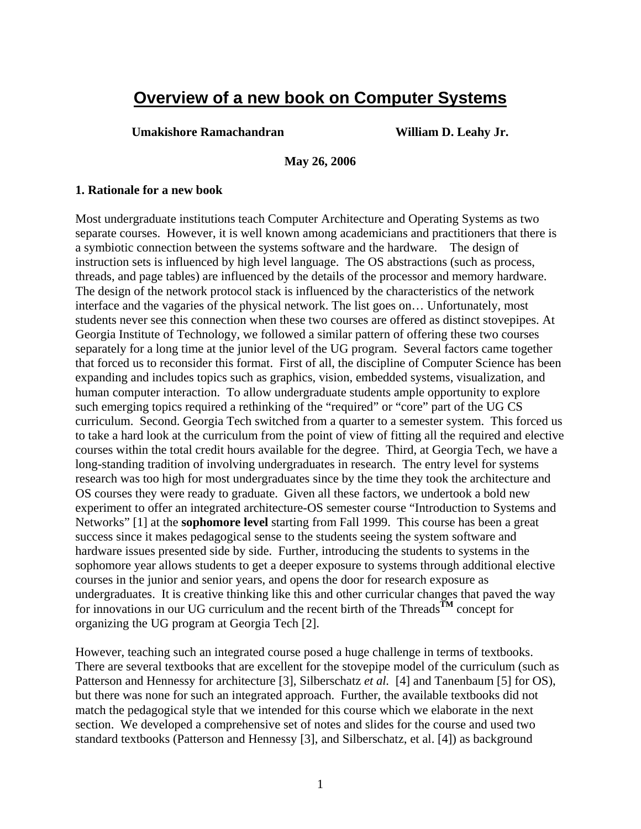# **Overview of a new book on Computer Systems**

**Umakishore Ramachandran William D. Leahy Jr.** 

**May 26, 2006** 

#### **1. Rationale for a new book**

Most undergraduate institutions teach Computer Architecture and Operating Systems as two separate courses. However, it is well known among academicians and practitioners that there is a symbiotic connection between the systems software and the hardware. The design of instruction sets is influenced by high level language. The OS abstractions (such as process, threads, and page tables) are influenced by the details of the processor and memory hardware. The design of the network protocol stack is influenced by the characteristics of the network interface and the vagaries of the physical network. The list goes on… Unfortunately, most students never see this connection when these two courses are offered as distinct stovepipes. At Georgia Institute of Technology, we followed a similar pattern of offering these two courses separately for a long time at the junior level of the UG program. Several factors came together that forced us to reconsider this format. First of all, the discipline of Computer Science has been expanding and includes topics such as graphics, vision, embedded systems, visualization, and human computer interaction. To allow undergraduate students ample opportunity to explore such emerging topics required a rethinking of the "required" or "core" part of the UG CS curriculum. Second. Georgia Tech switched from a quarter to a semester system. This forced us to take a hard look at the curriculum from the point of view of fitting all the required and elective courses within the total credit hours available for the degree. Third, at Georgia Tech, we have a long-standing tradition of involving undergraduates in research. The entry level for systems research was too high for most undergraduates since by the time they took the architecture and OS courses they were ready to graduate. Given all these factors, we undertook a bold new experiment to offer an integrated architecture-OS semester course "Introduction to Systems and Networks" [1] at the **sophomore level** starting from Fall 1999. This course has been a great success since it makes pedagogical sense to the students seeing the system software and hardware issues presented side by side. Further, introducing the students to systems in the sophomore year allows students to get a deeper exposure to systems through additional elective courses in the junior and senior years, and opens the door for research exposure as undergraduates. It is creative thinking like this and other curricular changes that paved the way for innovations in our UG curriculum and the recent birth of the Threads**TM** concept for organizing the UG program at Georgia Tech [2].

However, teaching such an integrated course posed a huge challenge in terms of textbooks. There are several textbooks that are excellent for the stovepipe model of the curriculum (such as Patterson and Hennessy for architecture [3], Silberschatz *et al.* [4] and Tanenbaum [5] for OS), but there was none for such an integrated approach. Further, the available textbooks did not match the pedagogical style that we intended for this course which we elaborate in the next section. We developed a comprehensive set of notes and slides for the course and used two standard textbooks (Patterson and Hennessy [3], and Silberschatz, et al. [4]) as background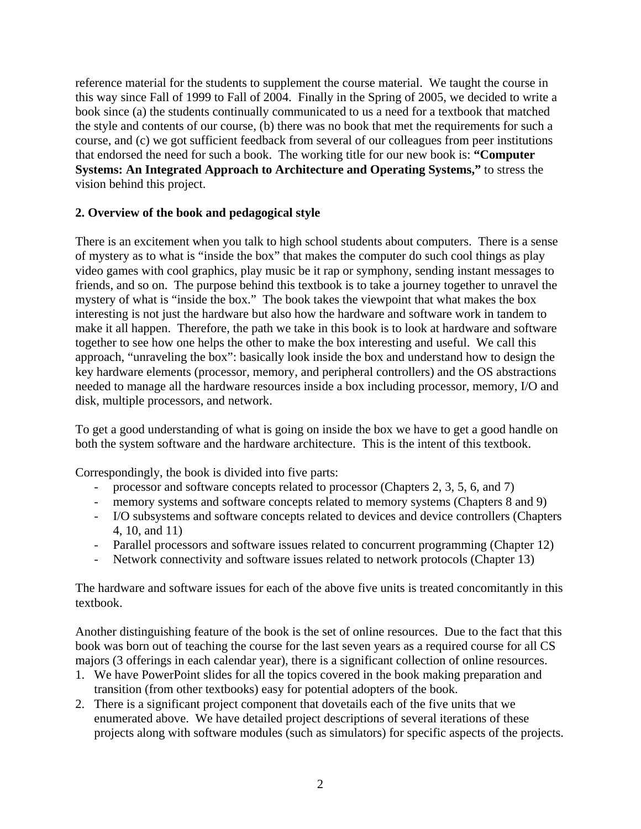reference material for the students to supplement the course material. We taught the course in this way since Fall of 1999 to Fall of 2004. Finally in the Spring of 2005, we decided to write a book since (a) the students continually communicated to us a need for a textbook that matched the style and contents of our course, (b) there was no book that met the requirements for such a course, and (c) we got sufficient feedback from several of our colleagues from peer institutions that endorsed the need for such a book. The working title for our new book is: **"Computer Systems: An Integrated Approach to Architecture and Operating Systems,"** to stress the vision behind this project.

## **2. Overview of the book and pedagogical style**

There is an excitement when you talk to high school students about computers. There is a sense of mystery as to what is "inside the box" that makes the computer do such cool things as play video games with cool graphics, play music be it rap or symphony, sending instant messages to friends, and so on. The purpose behind this textbook is to take a journey together to unravel the mystery of what is "inside the box." The book takes the viewpoint that what makes the box interesting is not just the hardware but also how the hardware and software work in tandem to make it all happen. Therefore, the path we take in this book is to look at hardware and software together to see how one helps the other to make the box interesting and useful. We call this approach, "unraveling the box": basically look inside the box and understand how to design the key hardware elements (processor, memory, and peripheral controllers) and the OS abstractions needed to manage all the hardware resources inside a box including processor, memory, I/O and disk, multiple processors, and network.

To get a good understanding of what is going on inside the box we have to get a good handle on both the system software and the hardware architecture. This is the intent of this textbook.

Correspondingly, the book is divided into five parts:

- processor and software concepts related to processor (Chapters 2, 3, 5, 6, and 7)
- memory systems and software concepts related to memory systems (Chapters 8 and 9)
- I/O subsystems and software concepts related to devices and device controllers (Chapters 4, 10, and 11)
- Parallel processors and software issues related to concurrent programming (Chapter 12)
- Network connectivity and software issues related to network protocols (Chapter 13)

The hardware and software issues for each of the above five units is treated concomitantly in this textbook.

Another distinguishing feature of the book is the set of online resources. Due to the fact that this book was born out of teaching the course for the last seven years as a required course for all CS majors (3 offerings in each calendar year), there is a significant collection of online resources.

- 1. We have PowerPoint slides for all the topics covered in the book making preparation and transition (from other textbooks) easy for potential adopters of the book.
- 2. There is a significant project component that dovetails each of the five units that we enumerated above. We have detailed project descriptions of several iterations of these projects along with software modules (such as simulators) for specific aspects of the projects.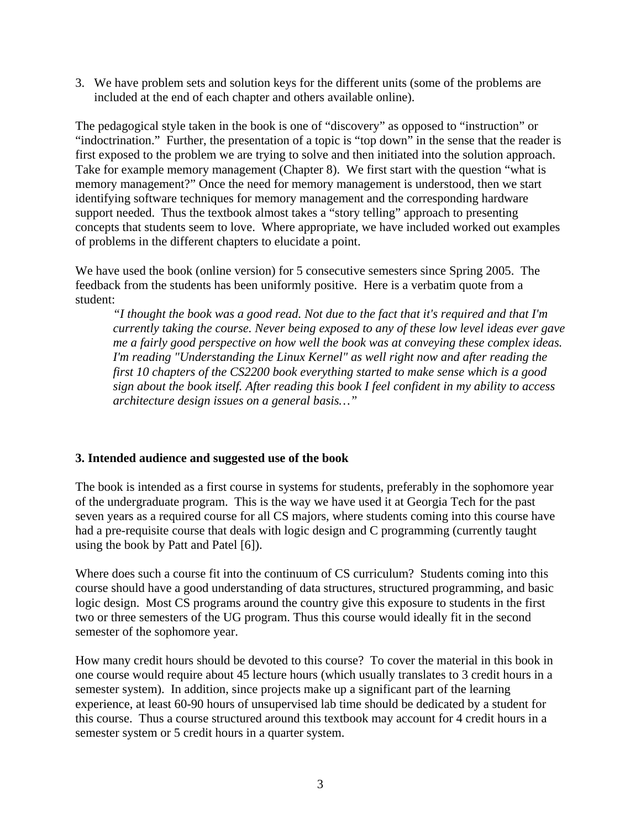3. We have problem sets and solution keys for the different units (some of the problems are included at the end of each chapter and others available online).

The pedagogical style taken in the book is one of "discovery" as opposed to "instruction" or "indoctrination." Further, the presentation of a topic is "top down" in the sense that the reader is first exposed to the problem we are trying to solve and then initiated into the solution approach. Take for example memory management (Chapter 8). We first start with the question "what is memory management?" Once the need for memory management is understood, then we start identifying software techniques for memory management and the corresponding hardware support needed. Thus the textbook almost takes a "story telling" approach to presenting concepts that students seem to love. Where appropriate, we have included worked out examples of problems in the different chapters to elucidate a point.

We have used the book (online version) for 5 consecutive semesters since Spring 2005. The feedback from the students has been uniformly positive. Here is a verbatim quote from a student:

*"I thought the book was a good read. Not due to the fact that it's required and that I'm currently taking the course. Never being exposed to any of these low level ideas ever gave me a fairly good perspective on how well the book was at conveying these complex ideas. I'm reading "Understanding the Linux Kernel" as well right now and after reading the first 10 chapters of the CS2200 book everything started to make sense which is a good sign about the book itself. After reading this book I feel confident in my ability to access architecture design issues on a general basis…"* 

## **3. Intended audience and suggested use of the book**

The book is intended as a first course in systems for students, preferably in the sophomore year of the undergraduate program. This is the way we have used it at Georgia Tech for the past seven years as a required course for all CS majors, where students coming into this course have had a pre-requisite course that deals with logic design and C programming (currently taught using the book by Patt and Patel [6]).

Where does such a course fit into the continuum of CS curriculum? Students coming into this course should have a good understanding of data structures, structured programming, and basic logic design. Most CS programs around the country give this exposure to students in the first two or three semesters of the UG program. Thus this course would ideally fit in the second semester of the sophomore year.

How many credit hours should be devoted to this course? To cover the material in this book in one course would require about 45 lecture hours (which usually translates to 3 credit hours in a semester system). In addition, since projects make up a significant part of the learning experience, at least 60-90 hours of unsupervised lab time should be dedicated by a student for this course. Thus a course structured around this textbook may account for 4 credit hours in a semester system or 5 credit hours in a quarter system.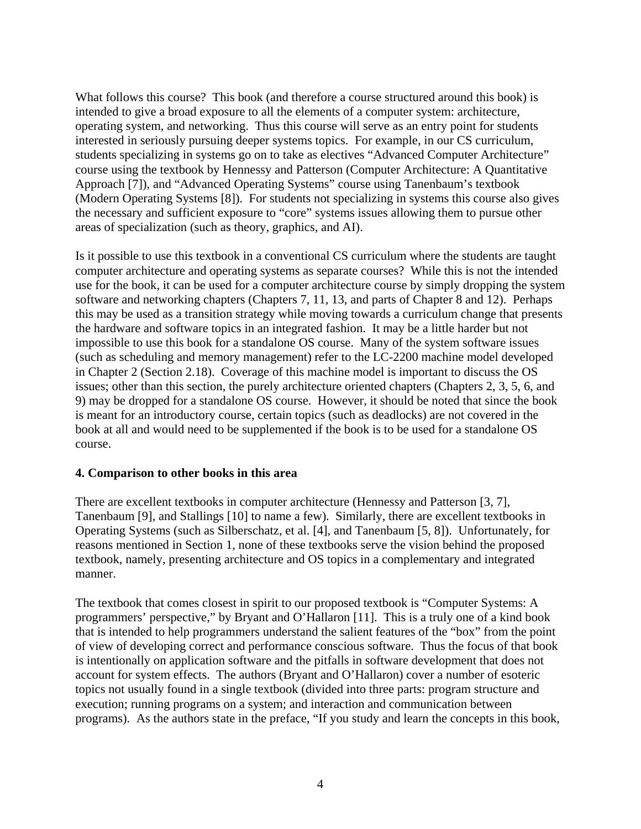What follows this course? This book (and therefore a course structured around this book) is intended to give a broad exposure to all the elements of a computer system: architecture, operating system, and networking. Thus this course will serve as an entry point for students interested in seriously pursuing deeper systems topics. For example, in our CS curriculum, students specializing in systems go on to take as electives "Advanced Computer Architecture" course using the textbook by Hennessy and Patterson (Computer Architecture: A Quantitative Approach [7]), and "Advanced Operating Systems" course using Tanenbaum's textbook (Modern Operating Systems [8]). For students not specializing in systems this course also gives the necessary and sufficient exposure to "core" systems issues allowing them to pursue other areas of specialization (such as theory, graphics, and AI).

Is it possible to use this textbook in a conventional CS curriculum where the students are taught computer architecture and operating systems as separate courses? While this is not the intended use for the book, it can be used for a computer architecture course by simply dropping the system software and networking chapters (Chapters 7, 11, 13, and parts of Chapter 8 and 12). Perhaps this may be used as a transition strategy while moving towards a curriculum change that presents the hardware and software topics in an integrated fashion. It may be a little harder but not impossible to use this book for a standalone OS course. Many of the system software issues (such as scheduling and memory management) refer to the LC-2200 machine model developed in Chapter 2 (Section 2.18). Coverage of this machine model is important to discuss the OS issues; other than this section, the purely architecture oriented chapters (Chapters 2, 3, 5, 6, and 9) may be dropped for a standalone OS course. However, it should be noted that since the book is meant for an introductory course, certain topics (such as deadlocks) are not covered in the book at all and would need to be supplemented if the book is to be used for a standalone OS course.

#### **4. Comparison to other books in this area**

There are excellent textbooks in computer architecture (Hennessy and Patterson [3, 7], Tanenbaum [9], and Stallings [10] to name a few). Similarly, there are excellent textbooks in Operating Systems (such as Silberschatz, et al. [4], and Tanenbaum [5, 8]). Unfortunately, for reasons mentioned in Section 1, none of these textbooks serve the vision behind the proposed textbook, namely, presenting architecture and OS topics in a complementary and integrated manner.

The textbook that comes closest in spirit to our proposed textbook is "Computer Systems: A programmers' perspective," by Bryant and O'Hallaron [11]. This is a truly one of a kind book that is intended to help programmers understand the salient features of the "box" from the point of view of developing correct and performance conscious software. Thus the focus of that book is intentionally on application software and the pitfalls in software development that does not account for system effects. The authors (Bryant and O'Hallaron) cover a number of esoteric topics not usually found in a single textbook (divided into three parts: program structure and execution; running programs on a system; and interaction and communication between programs). As the authors state in the preface, "If you study and learn the concepts in this book,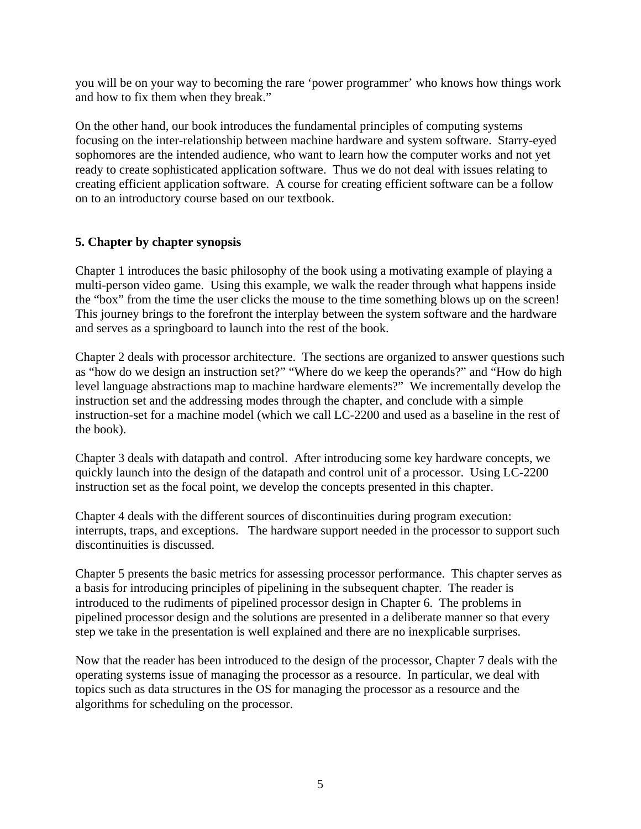you will be on your way to becoming the rare 'power programmer' who knows how things work and how to fix them when they break."

On the other hand, our book introduces the fundamental principles of computing systems focusing on the inter-relationship between machine hardware and system software. Starry-eyed sophomores are the intended audience, who want to learn how the computer works and not yet ready to create sophisticated application software. Thus we do not deal with issues relating to creating efficient application software. A course for creating efficient software can be a follow on to an introductory course based on our textbook.

## **5. Chapter by chapter synopsis**

Chapter 1 introduces the basic philosophy of the book using a motivating example of playing a multi-person video game. Using this example, we walk the reader through what happens inside the "box" from the time the user clicks the mouse to the time something blows up on the screen! This journey brings to the forefront the interplay between the system software and the hardware and serves as a springboard to launch into the rest of the book.

Chapter 2 deals with processor architecture. The sections are organized to answer questions such as "how do we design an instruction set?" "Where do we keep the operands?" and "How do high level language abstractions map to machine hardware elements?" We incrementally develop the instruction set and the addressing modes through the chapter, and conclude with a simple instruction-set for a machine model (which we call LC-2200 and used as a baseline in the rest of the book).

Chapter 3 deals with datapath and control. After introducing some key hardware concepts, we quickly launch into the design of the datapath and control unit of a processor. Using LC-2200 instruction set as the focal point, we develop the concepts presented in this chapter.

Chapter 4 deals with the different sources of discontinuities during program execution: interrupts, traps, and exceptions. The hardware support needed in the processor to support such discontinuities is discussed.

Chapter 5 presents the basic metrics for assessing processor performance. This chapter serves as a basis for introducing principles of pipelining in the subsequent chapter. The reader is introduced to the rudiments of pipelined processor design in Chapter 6. The problems in pipelined processor design and the solutions are presented in a deliberate manner so that every step we take in the presentation is well explained and there are no inexplicable surprises.

Now that the reader has been introduced to the design of the processor, Chapter 7 deals with the operating systems issue of managing the processor as a resource. In particular, we deal with topics such as data structures in the OS for managing the processor as a resource and the algorithms for scheduling on the processor.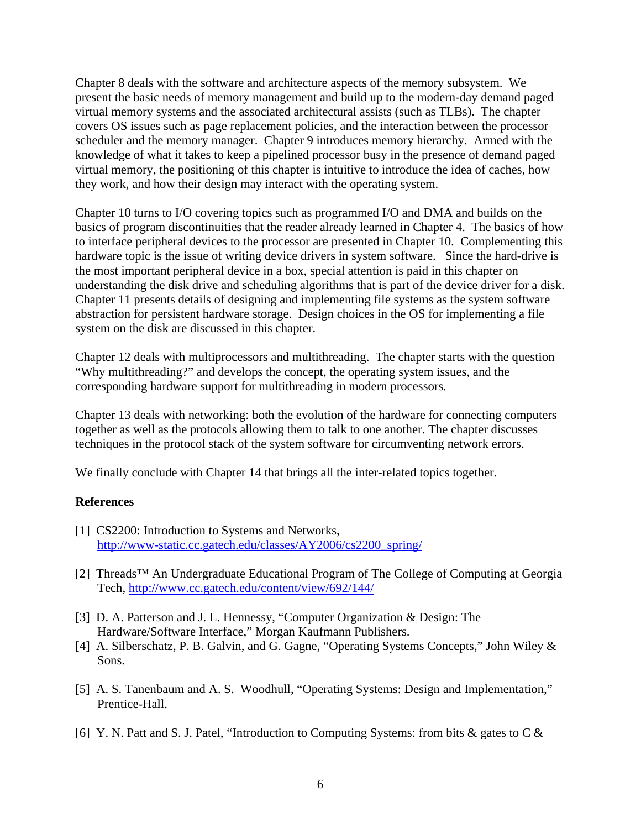Chapter 8 deals with the software and architecture aspects of the memory subsystem. We present the basic needs of memory management and build up to the modern-day demand paged virtual memory systems and the associated architectural assists (such as TLBs). The chapter covers OS issues such as page replacement policies, and the interaction between the processor scheduler and the memory manager. Chapter 9 introduces memory hierarchy. Armed with the knowledge of what it takes to keep a pipelined processor busy in the presence of demand paged virtual memory, the positioning of this chapter is intuitive to introduce the idea of caches, how they work, and how their design may interact with the operating system.

Chapter 10 turns to I/O covering topics such as programmed I/O and DMA and builds on the basics of program discontinuities that the reader already learned in Chapter 4. The basics of how to interface peripheral devices to the processor are presented in Chapter 10. Complementing this hardware topic is the issue of writing device drivers in system software. Since the hard-drive is the most important peripheral device in a box, special attention is paid in this chapter on understanding the disk drive and scheduling algorithms that is part of the device driver for a disk. Chapter 11 presents details of designing and implementing file systems as the system software abstraction for persistent hardware storage. Design choices in the OS for implementing a file system on the disk are discussed in this chapter.

Chapter 12 deals with multiprocessors and multithreading. The chapter starts with the question "Why multithreading?" and develops the concept, the operating system issues, and the corresponding hardware support for multithreading in modern processors.

Chapter 13 deals with networking: both the evolution of the hardware for connecting computers together as well as the protocols allowing them to talk to one another. The chapter discusses techniques in the protocol stack of the system software for circumventing network errors.

We finally conclude with Chapter 14 that brings all the inter-related topics together.

## **References**

- [1] CS2200: Introduction to Systems and Networks, [http://www-static.cc.gatech.edu/classes/AY2006/cs2200\\_spring/](http://www-static.cc.gatech.edu/classes/AY2006/cs2200_spring/)
- [2] Threads™ An Undergraduate Educational Program of The College of Computing at Georgia Tech, <http://www.cc.gatech.edu/content/view/692/144/>
- [3] D. A. Patterson and J. L. Hennessy, "Computer Organization & Design: The Hardware/Software Interface," Morgan Kaufmann Publishers.
- [4] A. Silberschatz, P. B. Galvin, and G. Gagne, "Operating Systems Concepts," John Wiley & Sons.
- [5] A. S. Tanenbaum and A. S. Woodhull, "Operating Systems: Design and Implementation," Prentice-Hall.
- [6] Y. N. Patt and S. J. Patel, "Introduction to Computing Systems: from bits  $\&$  gates to C  $\&$